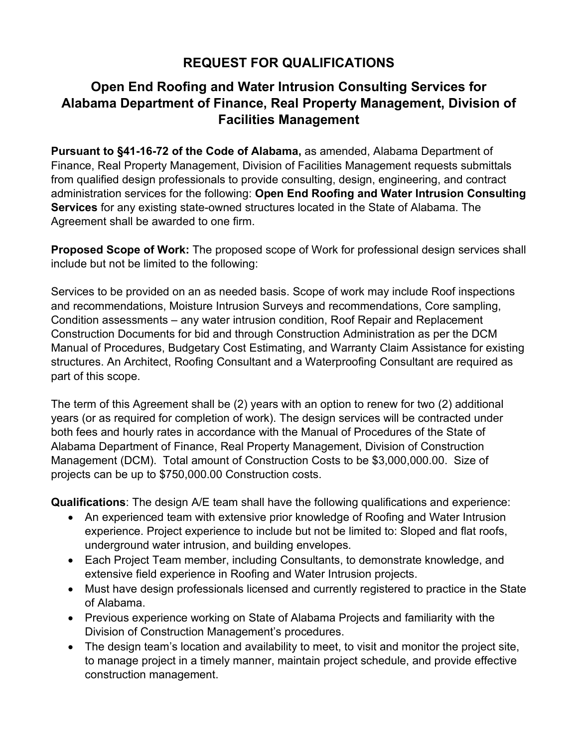## **REQUEST FOR QUALIFICATIONS**

## **Open End Roofing and Water Intrusion Consulting Services for Alabama Department of Finance, Real Property Management, Division of Facilities Management**

**Pursuant to §41-16-72 of the Code of Alabama,** as amended, Alabama Department of Finance, Real Property Management, Division of Facilities Management requests submittals from qualified design professionals to provide consulting, design, engineering, and contract administration services for the following: **Open End Roofing and Water Intrusion Consulting Services** for any existing state-owned structures located in the State of Alabama. The Agreement shall be awarded to one firm.

**Proposed Scope of Work:** The proposed scope of Work for professional design services shall include but not be limited to the following:

Services to be provided on an as needed basis. Scope of work may include Roof inspections and recommendations, Moisture Intrusion Surveys and recommendations, Core sampling, Condition assessments – any water intrusion condition, Roof Repair and Replacement Construction Documents for bid and through Construction Administration as per the DCM Manual of Procedures, Budgetary Cost Estimating, and Warranty Claim Assistance for existing structures. An Architect, Roofing Consultant and a Waterproofing Consultant are required as part of this scope.

The term of this Agreement shall be (2) years with an option to renew for two (2) additional years (or as required for completion of work). The design services will be contracted under both fees and hourly rates in accordance with the Manual of Procedures of the State of Alabama Department of Finance, Real Property Management, Division of Construction Management (DCM). Total amount of Construction Costs to be \$3,000,000.00. Size of projects can be up to \$750,000.00 Construction costs.

**Qualifications**: The design A/E team shall have the following qualifications and experience:

- An experienced team with extensive prior knowledge of Roofing and Water Intrusion experience. Project experience to include but not be limited to: Sloped and flat roofs, underground water intrusion, and building envelopes.
- Each Project Team member, including Consultants, to demonstrate knowledge, and extensive field experience in Roofing and Water Intrusion projects.
- Must have design professionals licensed and currently registered to practice in the State of Alabama.
- Previous experience working on State of Alabama Projects and familiarity with the Division of Construction Management's procedures.
- The design team's location and availability to meet, to visit and monitor the project site, to manage project in a timely manner, maintain project schedule, and provide effective construction management.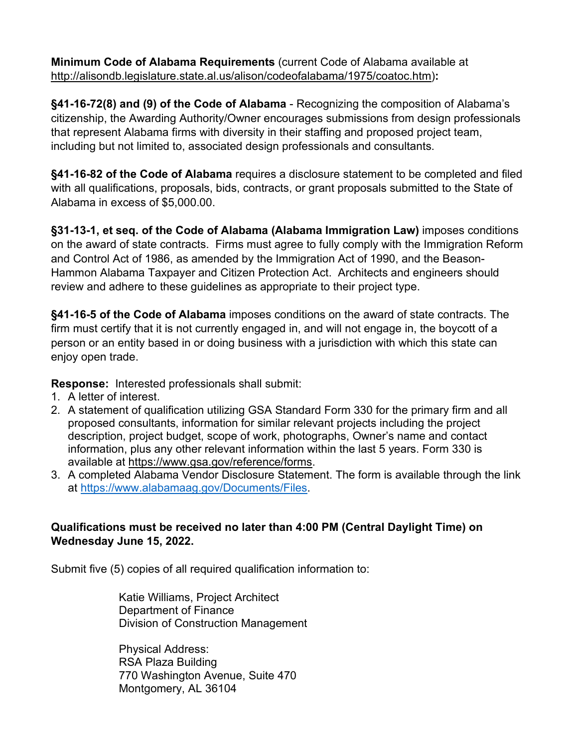**Minimum Code of Alabama Requirements** (current Code of Alabama available at [http://alisondb.legislature.state.al.us/alison/codeofalabama/1975/coatoc.htm\)](http://alisondb.legislature.state.al.us/alison/codeofalabama/1975/coatoc.htm)**:**

**§41-16-72(8) and (9) of the Code of Alabama** - Recognizing the composition of Alabama's citizenship, the Awarding Authority/Owner encourages submissions from design professionals that represent Alabama firms with diversity in their staffing and proposed project team, including but not limited to, associated design professionals and consultants.

**§41-16-82 of the Code of Alabama** requires a disclosure statement to be completed and filed with all qualifications, proposals, bids, contracts, or grant proposals submitted to the State of Alabama in excess of \$5,000.00.

**§31-13-1, et seq. of the Code of Alabama (Alabama Immigration Law)** imposes conditions on the award of state contracts. Firms must agree to fully comply with the Immigration Reform and Control Act of 1986, as amended by the Immigration Act of 1990, and the Beason-Hammon Alabama Taxpayer and Citizen Protection Act. Architects and engineers should review and adhere to these guidelines as appropriate to their project type.

**§41-16-5 of the Code of Alabama** imposes conditions on the award of state contracts. The firm must certify that it is not currently engaged in, and will not engage in, the boycott of a person or an entity based in or doing business with a jurisdiction with which this state can enjoy open trade.

**Response:** Interested professionals shall submit:

- 1. A letter of interest.
- 2. A statement of qualification utilizing GSA Standard Form 330 for the primary firm and all proposed consultants, information for similar relevant projects including the project description, project budget, scope of work, photographs, Owner's name and contact information, plus any other relevant information within the last 5 years. Form 330 is available at [https://www.gsa.gov/reference/forms.](https://www.gsa.gov/reference/forms)
- 3. A completed Alabama Vendor Disclosure Statement. The form is available through the link at [https://www.alabamaag.gov/Documents/Files.](https://www.alabamaag.gov/Documents/Files)

## **Qualifications must be received no later than 4:00 PM (Central Daylight Time) on Wednesday June 15, 2022.**

Submit five (5) copies of all required qualification information to:

Katie Williams, Project Architect Department of Finance Division of Construction Management

 Physical Address: RSA Plaza Building 770 Washington Avenue, Suite 470 Montgomery, AL 36104